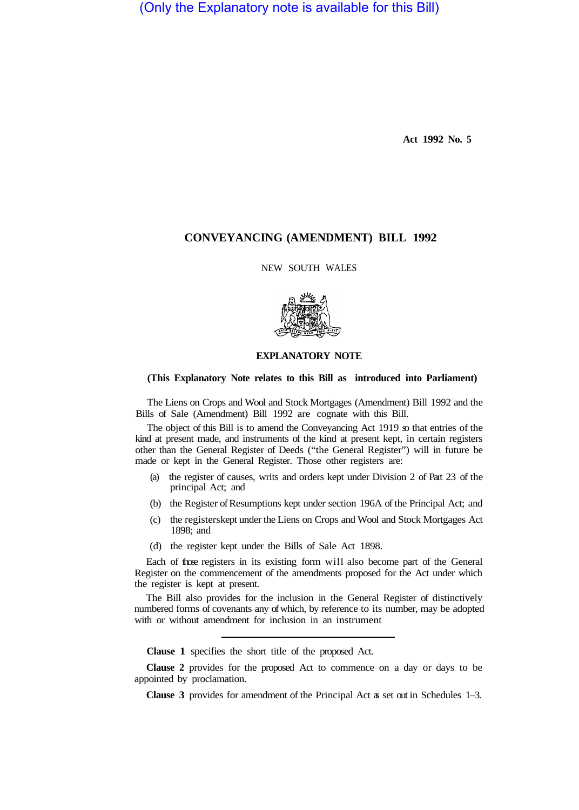(Only the Explanatory note is available for this Bill)

**Act 1992 No. 5** 

# **CONVEYANCING (AMENDMENT) BILL 1992**

NEW SOUTH WALES



# **EXPLANATORY NOTE**

## **(This Explanatory Note relates to this Bill as introduced into Parliament)**

The Liens on Crops and Wool and Stock Mortgages (Amendment) Bill 1992 and the Bills of Sale (Amendment) Bill 1992 are cognate with this Bill.

The object of this Bill is to amend the Conveyancing Act 1919 so that entries of the kind at present made, and instruments of the kind at present kept, in certain registers other than the General Register of Deeds ("the General Register") will in future be made or kept in the General Register. Those other registers are:

- (a) the register of causes, writs and orders kept under Division 2 of Part 23 of the principal Act; and
- (b) the Register of Resumptions kept under section 196A of the Principal Act; and
- (c) the registerskept under the Liens on Crops and Wool and Stock Mortgages Act 1898; and
- (d) the register kept under the Bills of Sale Act 1898.

Each of those registers in its existing form will also become part of the General Register on the commencement of the amendments proposed for the Act under which the register is kept at present.

The Bill also provides for the inclusion in the General Register of distinctively numbered forms of covenants any of which, by reference to its number, may be adopted with or without amendment for inclusion in an instrument

**Clause 1** specifies the short title of the proposed Act.

**Clause 2** provides for the proposed Act to commence on a day or days to be appointed by proclamation.

**Clause 3** provides for amendment of the Principal Act as set out in Schedules 1–3.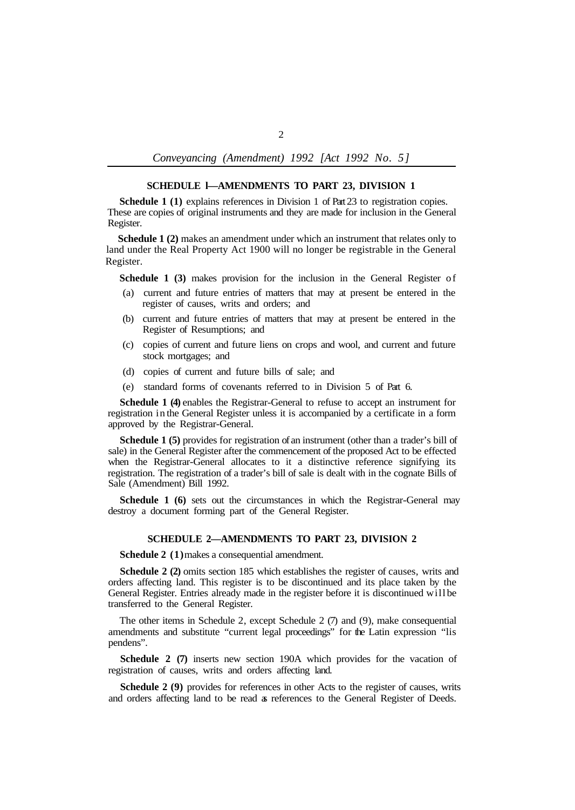*Conveyancing (Amendment) 1992 [Act 1992 No. 5]* 

#### **SCHEDULE l—AMENDMENTS TO PART 23, DIVISION 1**

**Schedule 1 (1)** explains references in Division 1 of Part 23 to registration copies. These are copies of original instruments and they are made for inclusion in the General Register.

**Schedule 1 (2)** makes an amendment under which an instrument that relates only to land under the Real Property Act 1900 will no longer be registrable in the General Register.

**Schedule 1 (3)** makes provision for the inclusion in the General Register of

- (a) current and future entries of matters that may at present be entered in the register of causes, writs and orders; and
- (b) current and future entries of matters that may at present be entered in the Register of Resumptions; and
- (c) copies of current and future liens on crops and wool, and current and future stock mortgages; and
- (d) copies of current and future bills of sale; and
- (e) standard forms of covenants referred to in Division 5 of Part 6.

**Schedule 1 (4)** enables the Registrar-General to refuse to accept an instrument for registration in the General Register unless it is accompanied by a certificate in a form approved by the Registrar-General.

**Schedule 1 (5)** provides for registration of an instrument (other than a trader's bill of sale) in the General Register after the commencement of the proposed Act to be effected when the Registrar-General allocates to it a distinctive reference signifying its registration. The registration of a trader's bill of sale is dealt with in the cognate Bills of Sale (Amendment) Bill 1992.

**Schedule 1 (6)** sets out the circumstances in which the Registrar-General may destroy a document forming part of the General Register.

### **SCHEDULE 2—AMENDMENTS TO PART 23, DIVISION 2**

**Schedule 2 (1)**makes a consequential amendment.

**Schedule 2 (2)** omits section 185 which establishes the register of causes, writs and orders affecting land. This register is to be discontinued and its place taken by the General Register. Entries already made in the register before it is discontinued will be transferred to the General Register.

The other items in Schedule 2, except Schedule 2 (7) and (9), make consequential amendments and substitute "current legal proceedings" for the Latin expression "lis pendens".

**Schedule 2 (7)** inserts new section 190A which provides for the vacation of registration of causes, writs and orders affecting land.

**Schedule 2 (9)** provides for references in other Acts to the register of causes, writs and orders affecting land to be read as references to the General Register of Deeds.